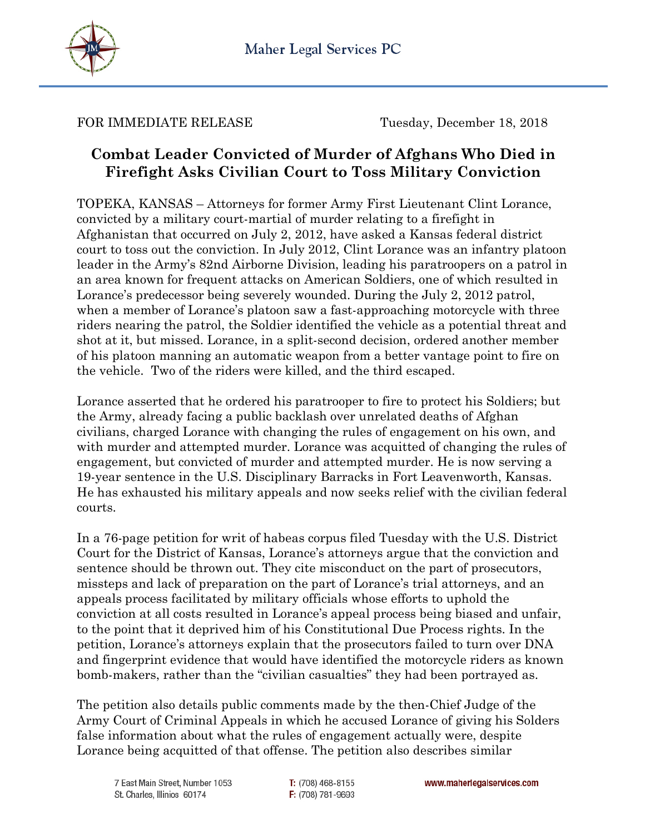

FOR IMMEDIATE RELEASE Tuesday, December 18, 2018

## **Combat Leader Convicted of Murder of Afghans Who Died in Firefight Asks Civilian Court to Toss Military Conviction**

TOPEKA, KANSAS – Attorneys for former Army First Lieutenant Clint Lorance, convicted by a military court-martial of murder relating to a firefight in Afghanistan that occurred on July 2, 2012, have asked a Kansas federal district court to toss out the conviction. In July 2012, Clint Lorance was an infantry platoon leader in the Army's 82nd Airborne Division, leading his paratroopers on a patrol in an area known for frequent attacks on American Soldiers, one of which resulted in Lorance's predecessor being severely wounded. During the July 2, 2012 patrol, when a member of Lorance's platoon saw a fast-approaching motorcycle with three riders nearing the patrol, the Soldier identified the vehicle as a potential threat and shot at it, but missed. Lorance, in a split-second decision, ordered another member of his platoon manning an automatic weapon from a better vantage point to fire on the vehicle. Two of the riders were killed, and the third escaped.

Lorance asserted that he ordered his paratrooper to fire to protect his Soldiers; but the Army, already facing a public backlash over unrelated deaths of Afghan civilians, charged Lorance with changing the rules of engagement on his own, and with murder and attempted murder. Lorance was acquitted of changing the rules of engagement, but convicted of murder and attempted murder. He is now serving a 19-year sentence in the U.S. Disciplinary Barracks in Fort Leavenworth, Kansas. He has exhausted his military appeals and now seeks relief with the civilian federal courts.

In a 76-page petition for writ of habeas corpus filed Tuesday with the U.S. District Court for the District of Kansas, Lorance's attorneys argue that the conviction and sentence should be thrown out. They cite misconduct on the part of prosecutors, missteps and lack of preparation on the part of Lorance's trial attorneys, and an appeals process facilitated by military officials whose efforts to uphold the conviction at all costs resulted in Lorance's appeal process being biased and unfair, to the point that it deprived him of his Constitutional Due Process rights. In the petition, Lorance's attorneys explain that the prosecutors failed to turn over DNA and fingerprint evidence that would have identified the motorcycle riders as known bomb-makers, rather than the "civilian casualties" they had been portrayed as.

The petition also details public comments made by the then-Chief Judge of the Army Court of Criminal Appeals in which he accused Lorance of giving his Solders false information about what the rules of engagement actually were, despite Lorance being acquitted of that offense. The petition also describes similar